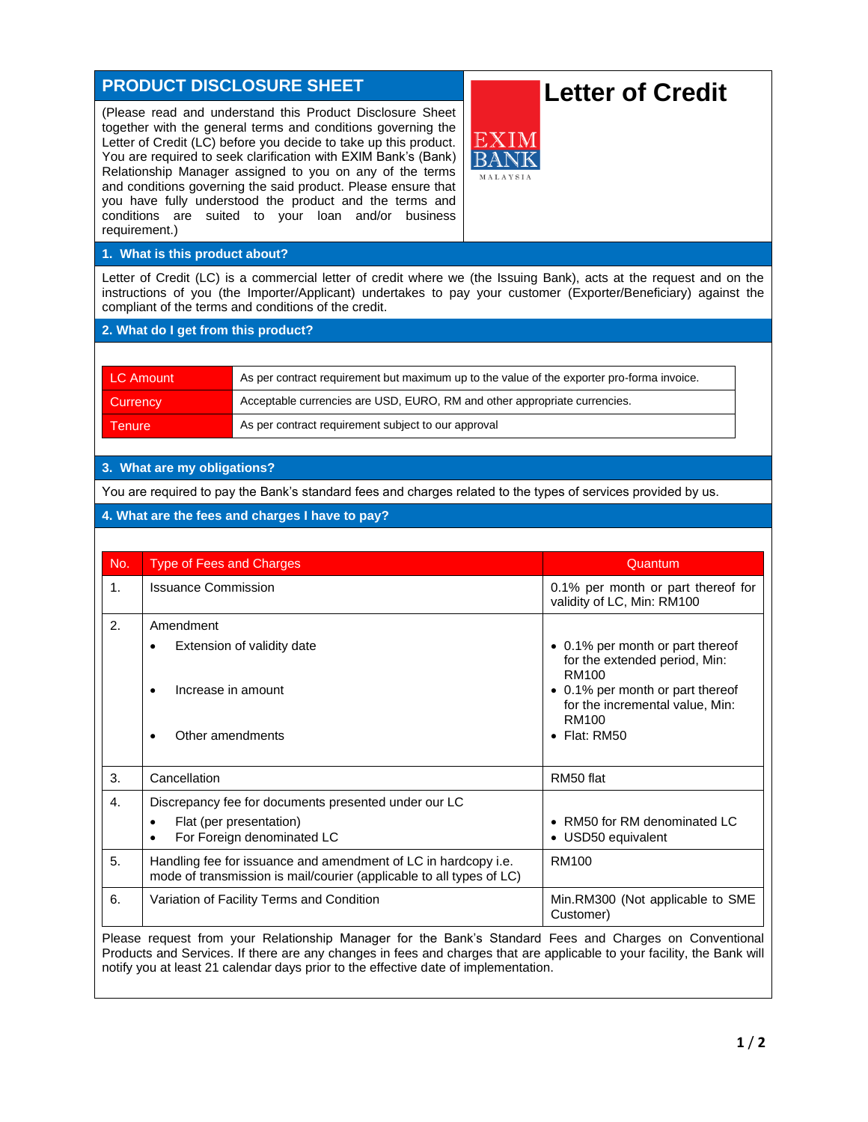# **PRODUCT DISCLOSURE SHEET** (Please read and understand this Product Disclosure Sheet together with the general terms and conditions governing the Letter of Credit (LC) before you decide to take up this product. You are required to seek clarification with EXIM Bank's (Bank) Relationship Manager assigned to you on any of the terms and conditions governing the said product. Please ensure that you have fully understood the product and the terms and conditions are suited to your loan and/or business requirement.) **1. What is this product about?** Letter of Credit (LC) is a commercial letter of credit where we (the Issuing Bank), acts at the request and on the instructions of you (the Importer/Applicant) undertakes to pay your customer (Exporter/Beneficiary) against the compliant of the terms and conditions of the credit. **2. What do I get from this product?** LC Amount As per contract requirement but maximum up to the value of the exporter pro-forma invoice. Currency **Acceptable currencies are USD, EURO, RM and other appropriate currencies.** Tenure **As per contract requirement subject to our approval Letter of Credit**

## **3. What are my obligations?**

You are required to pay the Bank's standard fees and charges related to the types of services provided by us.

#### **4. What are the fees and charges I have to pay?**

| No.            | <b>Type of Fees and Charges</b>                                                                                                                                                                                             | Quantum                                                                                |
|----------------|-----------------------------------------------------------------------------------------------------------------------------------------------------------------------------------------------------------------------------|----------------------------------------------------------------------------------------|
| 1 <sub>1</sub> | <b>Issuance Commission</b>                                                                                                                                                                                                  | 0.1% per month or part thereof for<br>validity of LC, Min: RM100                       |
| 2.             | Amendment                                                                                                                                                                                                                   |                                                                                        |
|                | Extension of validity date                                                                                                                                                                                                  | • 0.1% per month or part thereof<br>for the extended period, Min:<br>RM <sub>100</sub> |
|                | Increase in amount                                                                                                                                                                                                          | • 0.1% per month or part thereof<br>for the incremental value, Min:<br>RM100           |
|                | Other amendments                                                                                                                                                                                                            | $\bullet$ Flat: RM50                                                                   |
| 3.             | Cancellation                                                                                                                                                                                                                | RM50 flat                                                                              |
| 4.             | Discrepancy fee for documents presented under our LC                                                                                                                                                                        |                                                                                        |
|                | Flat (per presentation)<br>For Foreign denominated LC                                                                                                                                                                       | • RM50 for RM denominated LC<br>• USD50 equivalent                                     |
| 5.             | Handling fee for issuance and amendment of LC in hardcopy i.e.<br>mode of transmission is mail/courier (applicable to all types of LC)                                                                                      | RM100                                                                                  |
| 6.             | Variation of Facility Terms and Condition                                                                                                                                                                                   | Min.RM300 (Not applicable to SME<br>Customer)                                          |
|                | Please request from your Relationship Manager for the Bank's Standard Fees and Charges on Conventional<br>isto and ∩andrea. If these care and above a to face and above a that and applicable to comp facility the ∩andreal |                                                                                        |

Products and Services. If there are any changes in fees and charges that are applicable to your facility, the Bank will notify you at least 21 calendar days prior to the effective date of implementation.